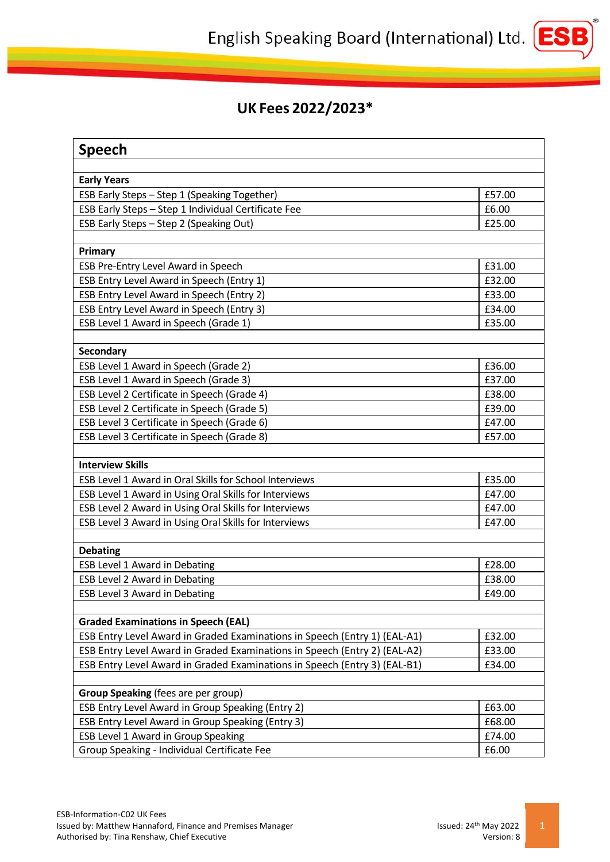

## **UK Fees 2022/2023\***

| <b>Speech</b>                                                             |        |  |
|---------------------------------------------------------------------------|--------|--|
|                                                                           |        |  |
| <b>Early Years</b>                                                        |        |  |
| ESB Early Steps - Step 1 (Speaking Together)                              | £57.00 |  |
| ESB Early Steps - Step 1 Individual Certificate Fee                       | £6.00  |  |
| ESB Early Steps - Step 2 (Speaking Out)                                   | £25.00 |  |
|                                                                           |        |  |
| Primary                                                                   |        |  |
| ESB Pre-Entry Level Award in Speech                                       | £31.00 |  |
| ESB Entry Level Award in Speech (Entry 1)                                 | £32.00 |  |
| ESB Entry Level Award in Speech (Entry 2)                                 | £33.00 |  |
| ESB Entry Level Award in Speech (Entry 3)                                 | £34.00 |  |
| ESB Level 1 Award in Speech (Grade 1)                                     | £35.00 |  |
|                                                                           |        |  |
| <b>Secondary</b>                                                          |        |  |
| ESB Level 1 Award in Speech (Grade 2)                                     | £36.00 |  |
| ESB Level 1 Award in Speech (Grade 3)                                     | £37.00 |  |
| ESB Level 2 Certificate in Speech (Grade 4)                               | £38.00 |  |
| ESB Level 2 Certificate in Speech (Grade 5)                               | £39.00 |  |
| ESB Level 3 Certificate in Speech (Grade 6)                               | £47.00 |  |
| ESB Level 3 Certificate in Speech (Grade 8)                               | £57.00 |  |
|                                                                           |        |  |
| <b>Interview Skills</b>                                                   |        |  |
| ESB Level 1 Award in Oral Skills for School Interviews                    | £35.00 |  |
| ESB Level 1 Award in Using Oral Skills for Interviews                     | £47.00 |  |
| ESB Level 2 Award in Using Oral Skills for Interviews                     | £47.00 |  |
| ESB Level 3 Award in Using Oral Skills for Interviews                     | £47.00 |  |
|                                                                           |        |  |
| <b>Debating</b>                                                           |        |  |
| ESB Level 1 Award in Debating                                             | £28.00 |  |
| <b>ESB Level 2 Award in Debating</b>                                      | £38.00 |  |
| <b>ESB Level 3 Award in Debating</b>                                      | £49.00 |  |
| <b>Graded Examinations in Speech (EAL)</b>                                |        |  |
| ESB Entry Level Award in Graded Examinations in Speech (Entry 1) (EAL-A1) | £32.00 |  |
| ESB Entry Level Award in Graded Examinations in Speech (Entry 2) (EAL-A2) | £33.00 |  |
| ESB Entry Level Award in Graded Examinations in Speech (Entry 3) (EAL-B1) | £34.00 |  |
|                                                                           |        |  |
| <b>Group Speaking</b> (fees are per group)                                |        |  |
| ESB Entry Level Award in Group Speaking (Entry 2)                         | £63.00 |  |
| ESB Entry Level Award in Group Speaking (Entry 3)                         | £68.00 |  |
| ESB Level 1 Award in Group Speaking                                       | £74.00 |  |
| Group Speaking - Individual Certificate Fee                               | £6.00  |  |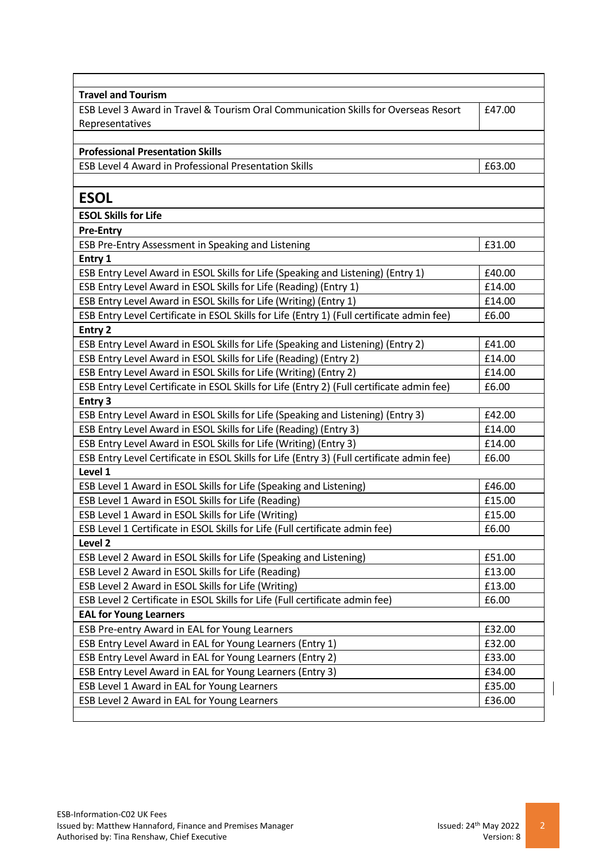| <b>Travel and Tourism</b>                                                                  |        |
|--------------------------------------------------------------------------------------------|--------|
| ESB Level 3 Award in Travel & Tourism Oral Communication Skills for Overseas Resort        | £47.00 |
| Representatives                                                                            |        |
|                                                                                            |        |
| <b>Professional Presentation Skills</b>                                                    |        |
| <b>ESB Level 4 Award in Professional Presentation Skills</b>                               | £63.00 |
|                                                                                            |        |
| <b>ESOL</b>                                                                                |        |
| <b>ESOL Skills for Life</b>                                                                |        |
| <b>Pre-Entry</b>                                                                           |        |
| ESB Pre-Entry Assessment in Speaking and Listening                                         | £31.00 |
| Entry 1                                                                                    |        |
| ESB Entry Level Award in ESOL Skills for Life (Speaking and Listening) (Entry 1)           | £40.00 |
| ESB Entry Level Award in ESOL Skills for Life (Reading) (Entry 1)                          | £14.00 |
| ESB Entry Level Award in ESOL Skills for Life (Writing) (Entry 1)                          | £14.00 |
| ESB Entry Level Certificate in ESOL Skills for Life (Entry 1) (Full certificate admin fee) | £6.00  |
| Entry 2                                                                                    |        |
| ESB Entry Level Award in ESOL Skills for Life (Speaking and Listening) (Entry 2)           | £41.00 |
| ESB Entry Level Award in ESOL Skills for Life (Reading) (Entry 2)                          | £14.00 |
| ESB Entry Level Award in ESOL Skills for Life (Writing) (Entry 2)                          | £14.00 |
| ESB Entry Level Certificate in ESOL Skills for Life (Entry 2) (Full certificate admin fee) | £6.00  |
| Entry 3                                                                                    |        |
| ESB Entry Level Award in ESOL Skills for Life (Speaking and Listening) (Entry 3)           | £42.00 |
| ESB Entry Level Award in ESOL Skills for Life (Reading) (Entry 3)                          | £14.00 |
| ESB Entry Level Award in ESOL Skills for Life (Writing) (Entry 3)                          | £14.00 |
| ESB Entry Level Certificate in ESOL Skills for Life (Entry 3) (Full certificate admin fee) | £6.00  |
| Level 1                                                                                    |        |
| ESB Level 1 Award in ESOL Skills for Life (Speaking and Listening)                         | £46.00 |
| ESB Level 1 Award in ESOL Skills for Life (Reading)                                        | £15.00 |
| ESB Level 1 Award in ESOL Skills for Life (Writing)                                        | £15.00 |
| ESB Level 1 Certificate in ESOL Skills for Life (Full certificate admin fee)               | £6.00  |
| Level <sub>2</sub>                                                                         |        |
| ESB Level 2 Award in ESOL Skills for Life (Speaking and Listening)                         | £51.00 |
| ESB Level 2 Award in ESOL Skills for Life (Reading)                                        | £13.00 |
| ESB Level 2 Award in ESOL Skills for Life (Writing)                                        | £13.00 |
| ESB Level 2 Certificate in ESOL Skills for Life (Full certificate admin fee)               | £6.00  |
| <b>EAL for Young Learners</b>                                                              |        |
| ESB Pre-entry Award in EAL for Young Learners                                              | £32.00 |
| ESB Entry Level Award in EAL for Young Learners (Entry 1)                                  | £32.00 |
| ESB Entry Level Award in EAL for Young Learners (Entry 2)                                  | £33.00 |
| ESB Entry Level Award in EAL for Young Learners (Entry 3)                                  | £34.00 |
| ESB Level 1 Award in EAL for Young Learners                                                | £35.00 |
| ESB Level 2 Award in EAL for Young Learners                                                | £36.00 |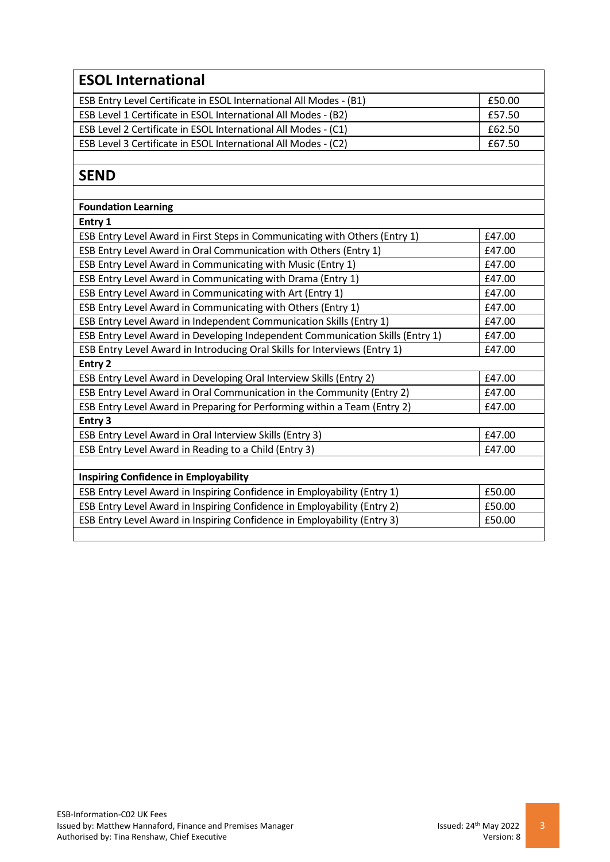| <b>ESOL International</b>                                                      |        |
|--------------------------------------------------------------------------------|--------|
| ESB Entry Level Certificate in ESOL International All Modes - (B1)             | £50.00 |
| ESB Level 1 Certificate in ESOL International All Modes - (B2)                 | £57.50 |
| ESB Level 2 Certificate in ESOL International All Modes - (C1)                 | £62.50 |
| ESB Level 3 Certificate in ESOL International All Modes - (C2)                 | £67.50 |
|                                                                                |        |
| <b>SEND</b>                                                                    |        |
|                                                                                |        |
| <b>Foundation Learning</b>                                                     |        |
| Entry 1                                                                        |        |
| ESB Entry Level Award in First Steps in Communicating with Others (Entry 1)    | £47.00 |
| ESB Entry Level Award in Oral Communication with Others (Entry 1)              | £47.00 |
| ESB Entry Level Award in Communicating with Music (Entry 1)                    | £47.00 |
| ESB Entry Level Award in Communicating with Drama (Entry 1)                    | £47.00 |
| ESB Entry Level Award in Communicating with Art (Entry 1)                      | £47.00 |
| ESB Entry Level Award in Communicating with Others (Entry 1)                   | £47.00 |
| ESB Entry Level Award in Independent Communication Skills (Entry 1)            | £47.00 |
| ESB Entry Level Award in Developing Independent Communication Skills (Entry 1) | £47.00 |
| ESB Entry Level Award in Introducing Oral Skills for Interviews (Entry 1)      | £47.00 |
| Entry 2                                                                        |        |
| ESB Entry Level Award in Developing Oral Interview Skills (Entry 2)            | £47.00 |
| ESB Entry Level Award in Oral Communication in the Community (Entry 2)         | £47.00 |
| ESB Entry Level Award in Preparing for Performing within a Team (Entry 2)      | £47.00 |
| Entry 3                                                                        |        |
| ESB Entry Level Award in Oral Interview Skills (Entry 3)                       | £47.00 |
| ESB Entry Level Award in Reading to a Child (Entry 3)                          | £47.00 |
|                                                                                |        |
| <b>Inspiring Confidence in Employability</b>                                   |        |
| ESB Entry Level Award in Inspiring Confidence in Employability (Entry 1)       | £50.00 |
| ESB Entry Level Award in Inspiring Confidence in Employability (Entry 2)       | £50.00 |
| ESB Entry Level Award in Inspiring Confidence in Employability (Entry 3)       | £50.00 |
|                                                                                |        |